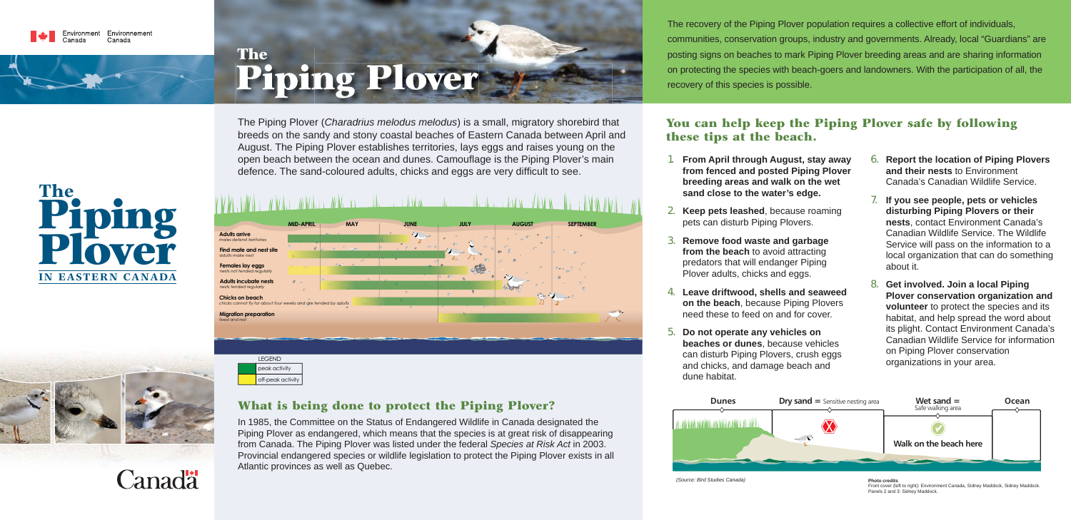The recovery of the Piping Plover population requires a collective effort of individuals, communities, conservation groups, industry and governments. Already, local "Guardians" are posting signs on beaches to mark Piping Plover breeding areas and are sharing information on protecting the species with beach-goers and landowners. With the participation of all, the recovery of this species is possible.

#### **You can help keep the Piping Plover safe by following these tips at the beach.**

*(Source: Bird Studies Canada)*



**from fenced and posted Piping Plover** 

- 1. **From April through August, stay away breeding areas and walk on the wet sand close to the water's edge.**
- 2. **Keep pets leashed**, because roaming pets can disturb Piping Plovers.
- 3. **Remove food waste and garbage from the beach** to avoid attracting predators that will endanger Piping Plover adults, chicks and eggs.
- 4. **Leave driftwood, shells and seaweed on the beach**, because Piping Plovers need these to feed on and for cover.
- 5. **Do not operate any vehicles on beaches or dunes**, because vehicles can disturb Piping Plovers, crush eggs and chicks, and damage beach and dune habitat.

The Piping Plover (*Charadrius melodus melodus*) is a small, migratory shorebird that The Piping Plover *Charadrius melodus* ) is <sup>a</sup> small migratory shorebird tha breeds on the sandy and stony coastal beaches of Eastern Canada between April and August. The Piping Plover establishes territories, lays eggs and raises young on the open beach between the ocean and dunes. Camouflage is the Piping Plover's main defence. The sand-coloured adults, chicks and eggs are very difficult to see.

- 6. **Report the location of Piping Plovers and their nests** to Environment Canada's Canadian Wildlife Service.
- 7. **If you see people, pets or vehicles disturbing Piping Plovers or their nests**, contact Environment Canada's Canadian Wildlife Service. The Wildlife Service will pass on the information to a local organization that can do something about it.
- 8. **Get involved. Join a local Piping Plover conservation organization and volunteer** to protect the species and its habitat, and help spread the word about its plight. Contact Environment Canada's Canadian Wildlife Service for information on Piping Plover conservation organizations in your area.

#### **What is being done to protect the Piping Plover?**

In 1985, the Committee on the Status of Endangered Wildlife in Canada designated the Piping Plover as endangered, which means that the species is at great risk of disappearing from Canada. The Piping Plover was listed under the federal *Species at Risk Act* in 2003. Provincial endangered species or wildlife legislation to protect the Piping Plover exists in all Atlantic provinces as well as Quebec.

**Photo credits**

 Front cover (left to right): Environment Canada, Sidney Maddock, Sidney Maddock. Panels 2 and 3: Sidney Maddock.



# **Piping Plover The**



peak activity off-peak activity

# **The Plover Piping IN EASTERN CANADA**



## Canadä